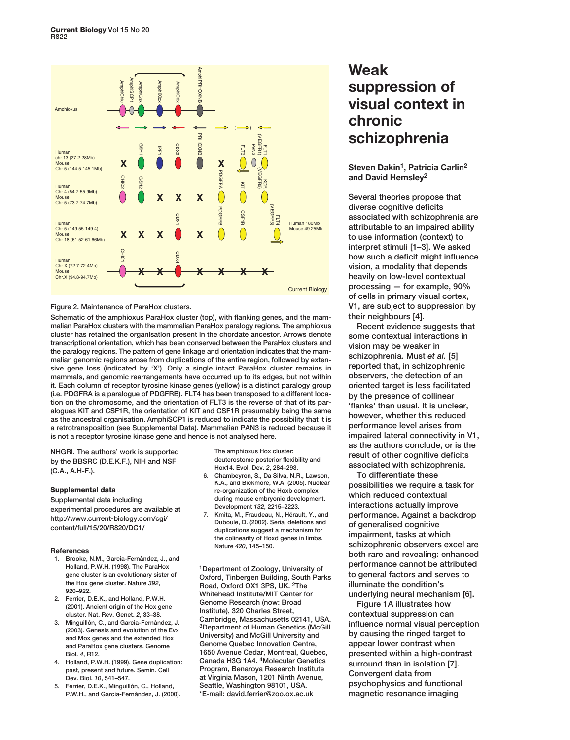

## **Figure 2. Maintenance of ParaHox clusters.**

**Schematic of the amphioxus ParaHox cluster (top), with flanking genes, and the mammalian ParaHox clusters with the mammalian ParaHox paralogy regions. The amphioxus cluster has retained the organisation present in the chordate ancestor. Arrows denote transcriptional orientation, which has been conserved between the ParaHox clusters and the paralogy regions. The pattern of gene linkage and orientation indicates that the mammalian genomic regions arose from duplications of the entire region, followed by extensive gene loss (indicated by 'X'). Only a single intact ParaHox cluster remains in mammals, and genomic rearrangements have occurred up to its edges, but not within it. Each column of receptor tyrosine kinase genes (yellow) is a distinct paralogy group (i.e. PDGFRA is a paralogue of PDGFRB). FLT4 has been transposed to a different location on the chromosome, and the orientation of FLT3 is the reverse of that of its paralogues KIT and CSF1R, the orientation of KIT and CSF1R presumably being the same as the ancestral organisation. AmphiSCP1 is reduced to indicate the possibility that it is a retrotransposition (see Supplemental Data). Mammalian PAN3 is reduced because it is not a receptor tyrosine kinase gene and hence is not analysed here.**

**NHGRI. The authors' work is supported by the BBSRC (D.E.K.F.), NIH and NSF (C.A., A.H-F.).**

### **Supplemental data**

**Supplemental data including experimental procedures are available at http://www.current-biology.com/cgi/ content/full/15/20/R820/DC1/**

#### **References**

- **1. Brooke, N.M., Garcia-Fernàndez, J., and Holland, P.W.H. (1998). The ParaHox gene cluster is an evolutionary sister of the Hox gene cluster. Nature** *392***, 920–922.**
- **2. Ferrier, D.E.K., and Holland, P.W.H. (2001). Ancient origin of the Hox gene cluster. Nat. Rev. Genet.** *2***, 33–38.**
- **3. Minguillón, C., and Garcia-Fernàndez, J. (2003). Genesis and evolution of the Evx and Mox genes and the extended Hox and ParaHox gene clusters. Genome Biol.** *4***, R12.**
- **4. Holland, P.W.H. (1999). Gene duplication: past, present and future. Semin. Cell Dev. Biol.** *10***, 541–547.**
- **5. Ferrier, D.E.K., Minguillón, C., Holland, P.W.H., and Garcia-Fernàndez, J. (2000).**

**The amphioxus Hox cluster: deuterostome posterior flexibility and Hox14. Evol. Dev.** *2***, 284–293.**

- **6. Chambeyron, S., Da Silva, N.R., Lawson, K.A., and Bickmore, W.A. (2005). Nuclear re-organization of the Hoxb complex during mouse embryonic development. Development** *132***, 2215–2223.**
- **7. Kmita, M., Fraudeau, N., Hérault, Y., and Duboule, D. (2002). Serial deletions and duplications suggest a mechanism for the colinearity of Hoxd genes in limbs. Nature** *420***, 145–150.**

**1Department of Zoology, University of Oxford, Tinbergen Building, South Parks Road, Oxford OX1 3PS, UK. 2The Whitehead Institute/MIT Center for Genome Research (now: Broad Institute), 320 Charles Street, Cambridge, Massachusetts 02141, USA. 3Department of Human Genetics (McGill University) and McGill University and Genome Quebec Innovation Centre, 1650 Avenue Cedar, Montreal, Quebec, Canada H3G 1A4. 4Molecular Genetics Program, Benaroya Research Institute at Virginia Mason, 1201 Ninth Avenue, Seattle, Washington 98101, USA. \*E-mail: david.ferrier@zoo.ox.ac.uk**

# **Weak suppression of visual context in chronic schizophrenia**

**Steven Dakin1, Patricia Carlin2 and David Hemsley2**

**Several theories propose that diverse cognitive deficits associated with schizophrenia are attributable to an impaired ability to use information (context) to interpret stimuli [1–3]. We asked how such a deficit might influence vision, a modality that depends heavily on low-level contextual processing — for example, 90% of cells in primary visual cortex, V1, are subject to suppression by their neighbours [4].** 

**Recent evidence suggests that some contextual interactions in vision may be weaker in** schizophrenia. Must *et al.* [5] **reported that, in schizophrenic observers, the detection of an oriented target is less facilitated by the presence of collinear 'flanks' than usual. It is unclear, however, whether this reduced performance level arises from impaired lateral connectivity in V1, as the authors conclude, or is the result of other cognitive deficits associated with schizophrenia.** 

**To differentiate these possibilities we require a task for which reduced contextual interactions actually improve performance. Against a backdrop of generalised cognitive impairment, tasks at which schizophrenic observers excel are both rare and revealing: enhanced performance cannot be attributed to general factors and serves to illuminate the condition's underlying neural mechanism [6].**

**Figure 1A illustrates how contextual suppression can influence normal visual perception by causing the ringed target to appear lower contrast when presented within a high-contrast surround than in isolation [7]. Convergent data from psychophysics and functional magnetic resonance imaging**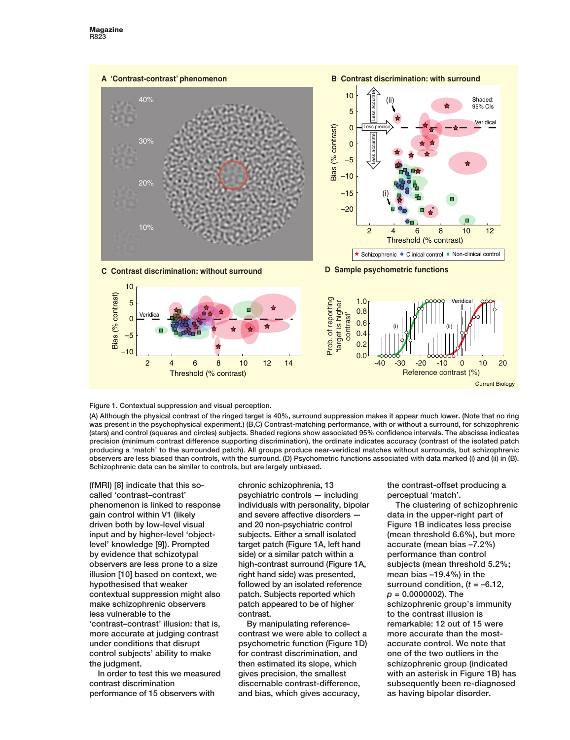

**Figure 1. Contextual suppression and visual perception.**

**(A) Although the physical contrast of the ringed target is 40%, surround suppression makes it appear much lower. (Note that no ring was present in the psychophysical experiment.) (B,C) Contrast-matching performance, with or without a surround, for schizophrenic (stars) and control (squares and circles) subjects. Shaded regions show associated 95% confidence intervals. The abscissa indicates precision (minimum contrast difference supporting discrimination), the ordinate indicates accuracy (contrast of the isolated patch producing a 'match' to the surrounded patch). All groups produce near-veridical matches without surrounds, but schizophrenic observers are less biased than controls, with the surround. (D) Psychometric functions associated with data marked (i) and (ii) in (B). Schizophrenic data can be similar to controls, but are largely unbiased.**

**(fMRI) [8] indicate that this socalled 'contrast–contrast' phenomenon is linked to response gain control within V1 (likely driven both by low-level visual input and by higher-level 'objectlevel' knowledge [9]). Prompted by evidence that schizotypal observers are less prone to a size illusion [10] based on context, we hypothesised that weaker contextual suppression might also make schizophrenic observers less vulnerable to the 'contrast–contrast' illusion: that is, more accurate at judging contrast under conditions that disrupt control subjects' ability to make the judgment.**

**In order to test this we measured contrast discrimination performance of 15 observers with**

**chronic schizophrenia, 13 psychiatric controls — including individuals with personality, bipolar and severe affective disorders and 20 non-psychiatric control subjects. Either a small isolated target patch (Figure 1A, left hand side) or a similar patch within a high-contrast surround (Figure 1A, right hand side) was presented, followed by an isolated reference patch. Subjects reported which patch appeared to be of higher contrast.** 

**By manipulating referencecontrast we were able to collect a psychometric function (Figure 1D) for contrast discrimination, and then estimated its slope, which gives precision, the smallest discernable contrast-difference, and bias, which gives accuracy,**

**the contrast-offset producing a perceptual 'match'.** 

**The clustering of schizophrenic data in the upper-right part of Figure 1B indicates less precise (mean threshold 6.6%), but more accurate (mean bias –7.2%) performance than control subjects (mean threshold 5.2%; mean bias –19.4%) in the surround condition, (***t* **= –6.12,** *p* **= 0.0000002). The schizophrenic group's immunity to the contrast illusion is remarkable: 12 out of 15 were more accurate than the mostaccurate control. We note that one of the two outliers in the schizophrenic group (indicated with an asterisk in Figure 1B) has subsequently been re-diagnosed as having bipolar disorder.**